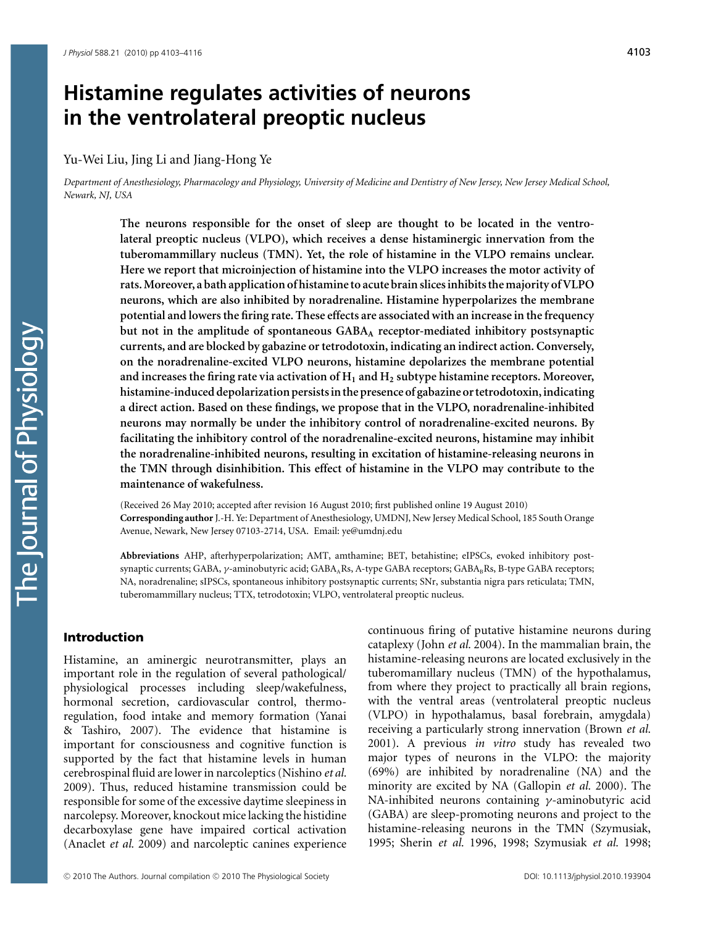## **Histamine regulates activities of neurons in the ventrolateral preoptic nucleus**

Yu-Wei Liu, Jing Li and Jiang-Hong Ye

*Department of Anesthesiology, Pharmacology and Physiology, University of Medicine and Dentistry of New Jersey, New Jersey Medical School, Newark, NJ, USA*

> **The neurons responsible for the onset of sleep are thought to be located in the ventrolateral preoptic nucleus (VLPO), which receives a dense histaminergic innervation from the tuberomammillary nucleus (TMN). Yet, the role of histamine in the VLPO remains unclear. Here we report that microinjection of histamine into the VLPO increases the motor activity of rats.Moreover, a bath application of histamine to acute brain slices inhibits the majority of VLPO neurons, which are also inhibited by noradrenaline. Histamine hyperpolarizes the membrane potential and lowers the firing rate. These effects are associated with an increase in the frequency but not in the amplitude of spontaneous GABA<sup>A</sup> receptor-mediated inhibitory postsynaptic currents, and are blocked by gabazine or tetrodotoxin, indicating an indirect action. Conversely, on the noradrenaline-excited VLPO neurons, histamine depolarizes the membrane potential and increases the firing rate via activation of H<sup>1</sup> and H<sup>2</sup> subtype histamine receptors. Moreover, histamine-induced depolarization persistsin the presence of gabazine or tetrodotoxin,indicating a direct action. Based on these findings, we propose that in the VLPO, noradrenaline-inhibited neurons may normally be under the inhibitory control of noradrenaline-excited neurons. By facilitating the inhibitory control of the noradrenaline-excited neurons, histamine may inhibit the noradrenaline-inhibited neurons, resulting in excitation of histamine-releasing neurons in the TMN through disinhibition. This effect of histamine in the VLPO may contribute to the maintenance of wakefulness.**

> (Received 26 May 2010; accepted after revision 16 August 2010; first published online 19 August 2010) **Corresponding author**J.-H. Ye: Department of Anesthesiology, UMDNJ, New Jersey Medical School, 185 South Orange Avenue, Newark, New Jersey 07103-2714, USA. Email: ye@umdnj.edu

> **Abbreviations** AHP, afterhyperpolarization; AMT, amthamine; BET, betahistine; eIPSCs, evoked inhibitory postsynaptic currents; GABA, γ-aminobutyric acid; GABA<sub>A</sub>Rs, A-type GABA receptors; GABA<sub>B</sub>Rs, B-type GABA receptors; NA, noradrenaline; sIPSCs, spontaneous inhibitory postsynaptic currents; SNr, substantia nigra pars reticulata; TMN, tuberomammillary nucleus; TTX, tetrodotoxin; VLPO, ventrolateral preoptic nucleus.

## Introduction

Histamine, an aminergic neurotransmitter, plays an important role in the regulation of several pathological/ physiological processes including sleep/wakefulness, hormonal secretion, cardiovascular control, thermoregulation, food intake and memory formation (Yanai & Tashiro, 2007). The evidence that histamine is important for consciousness and cognitive function is supported by the fact that histamine levels in human cerebrospinal fluid are lower in narcoleptics (Nishino *et al.* 2009). Thus, reduced histamine transmission could be responsible for some of the excessive daytime sleepiness in narcolepsy. Moreover, knockout mice lacking the histidine decarboxylase gene have impaired cortical activation (Anaclet *et al.* 2009) and narcoleptic canines experience continuous firing of putative histamine neurons during cataplexy (John *et al.* 2004). In the mammalian brain, the histamine-releasing neurons are located exclusively in the tuberomamillary nucleus (TMN) of the hypothalamus, from where they project to practically all brain regions, with the ventral areas (ventrolateral preoptic nucleus (VLPO) in hypothalamus, basal forebrain, amygdala) receiving a particularly strong innervation (Brown *et al.* 2001). A previous *in vitro* study has revealed two major types of neurons in the VLPO: the majority (69%) are inhibited by noradrenaline (NA) and the minority are excited by NA (Gallopin *et al.* 2000). The NA-inhibited neurons containing γ-aminobutyric acid (GABA) are sleep-promoting neurons and project to the histamine-releasing neurons in the TMN (Szymusiak, 1995; Sherin *et al.* 1996, 1998; Szymusiak *et al.* 1998;

The lournal of Physiology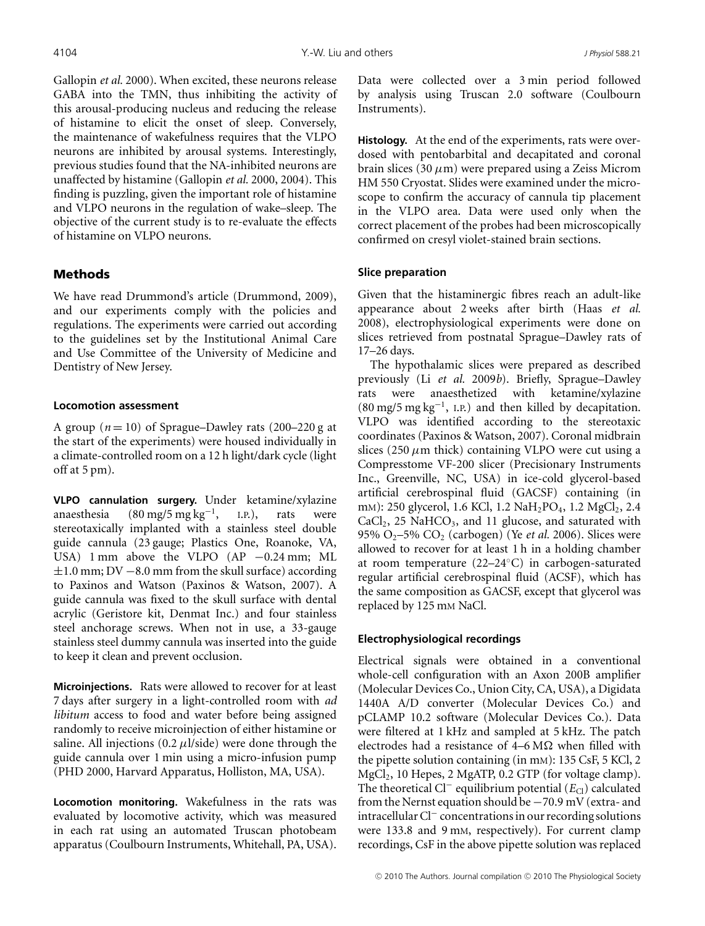Gallopin *et al.* 2000). When excited, these neurons release GABA into the TMN, thus inhibiting the activity of this arousal-producing nucleus and reducing the release of histamine to elicit the onset of sleep. Conversely, the maintenance of wakefulness requires that the VLPO neurons are inhibited by arousal systems. Interestingly, previous studies found that the NA-inhibited neurons are unaffected by histamine (Gallopin *et al.* 2000, 2004). This finding is puzzling, given the important role of histamine and VLPO neurons in the regulation of wake–sleep. The objective of the current study is to re-evaluate the effects of histamine on VLPO neurons.

## Methods

We have read Drummond's article (Drummond, 2009), and our experiments comply with the policies and regulations. The experiments were carried out according to the guidelines set by the Institutional Animal Care and Use Committee of the University of Medicine and Dentistry of New Jersey.

### **Locomotion assessment**

A group  $(n = 10)$  of Sprague–Dawley rats  $(200-220)$  g at the start of the experiments) were housed individually in a climate-controlled room on a 12 h light/dark cycle (light off at 5 pm).

**VLPO cannulation surgery.** Under ketamine/xylazine anaesthesia (80 mg/5 mg kg−1, I.P.), rats were stereotaxically implanted with a stainless steel double guide cannula (23 gauge; Plastics One, Roanoke, VA, USA) 1 mm above the VLPO (AP −0.24 mm; ML  $\pm 1.0$  mm; DV  $-8.0$  mm from the skull surface) according to Paxinos and Watson (Paxinos & Watson, 2007). A guide cannula was fixed to the skull surface with dental acrylic (Geristore kit, Denmat Inc.) and four stainless steel anchorage screws. When not in use, a 33-gauge stainless steel dummy cannula was inserted into the guide to keep it clean and prevent occlusion.

**Microinjections.** Rats were allowed to recover for at least 7 days after surgery in a light-controlled room with *ad libitum* access to food and water before being assigned randomly to receive microinjection of either histamine or saline. All injections  $(0.2 \mu l / \text{side})$  were done through the guide cannula over 1 min using a micro-infusion pump (PHD 2000, Harvard Apparatus, Holliston, MA, USA).

**Locomotion monitoring.** Wakefulness in the rats was evaluated by locomotive activity, which was measured in each rat using an automated Truscan photobeam apparatus (Coulbourn Instruments, Whitehall, PA, USA). Data were collected over a 3 min period followed by analysis using Truscan 2.0 software (Coulbourn Instruments).

**Histology.** At the end of the experiments, rats were overdosed with pentobarbital and decapitated and coronal brain slices (30  $\mu$ m) were prepared using a Zeiss Microm HM 550 Cryostat. Slides were examined under the microscope to confirm the accuracy of cannula tip placement in the VLPO area. Data were used only when the correct placement of the probes had been microscopically confirmed on cresyl violet-stained brain sections.

### **Slice preparation**

Given that the histaminergic fibres reach an adult-like appearance about 2 weeks after birth (Haas *et al.* 2008), electrophysiological experiments were done on slices retrieved from postnatal Sprague–Dawley rats of 17–26 days.

The hypothalamic slices were prepared as described previously (Li *et al.* 2009*b*). Briefly, Sprague–Dawley rats were anaesthetized with ketamine/xylazine  $(80 \text{ mg}/5 \text{ mg} \text{ kg}^{-1}$ , I.P.) and then killed by decapitation. VLPO was identified according to the stereotaxic coordinates (Paxinos & Watson, 2007). Coronal midbrain slices (250  $\mu$ m thick) containing VLPO were cut using a Compresstome VF-200 slicer (Precisionary Instruments Inc., Greenville, NC, USA) in ice-cold glycerol-based artificial cerebrospinal fluid (GACSF) containing (in mm): 250 glycerol, 1.6 KCl, 1.2 NaH<sub>2</sub>PO<sub>4</sub>, 1.2 MgCl<sub>2</sub>, 2.4  $CaCl<sub>2</sub>$ , 25 NaHCO<sub>3</sub>, and 11 glucose, and saturated with 95% O2–5% CO2 (carbogen) (Ye *et al.* 2006). Slices were allowed to recover for at least 1 h in a holding chamber at room temperature (22–24◦C) in carbogen-saturated regular artificial cerebrospinal fluid (ACSF), which has the same composition as GACSF, except that glycerol was replaced by 125 mm NaCl.

## **Electrophysiological recordings**

Electrical signals were obtained in a conventional whole-cell configuration with an Axon 200B amplifier (Molecular Devices Co., Union City, CA, USA), a Digidata 1440A A/D converter (Molecular Devices Co.) and pCLAMP 10.2 software (Molecular Devices Co.). Data were filtered at 1 kHz and sampled at 5 kHz. The patch electrodes had a resistance of  $4-6$  M $\Omega$  when filled with the pipette solution containing (in mM): 135 CsF, 5 KCl, 2 MgCl2, 10 Hepes, 2 MgATP, 0.2 GTP (for voltage clamp). The theoretical Cl<sup>−</sup> equilibrium potential (*E*<sub>Cl</sub>) calculated from the Nernst equation should be −70.9 mV (extra- and intracellular Cl<sup>−</sup> concentrations in our recording solutions were 133.8 and 9 mM, respectively). For current clamp recordings, CsF in the above pipette solution was replaced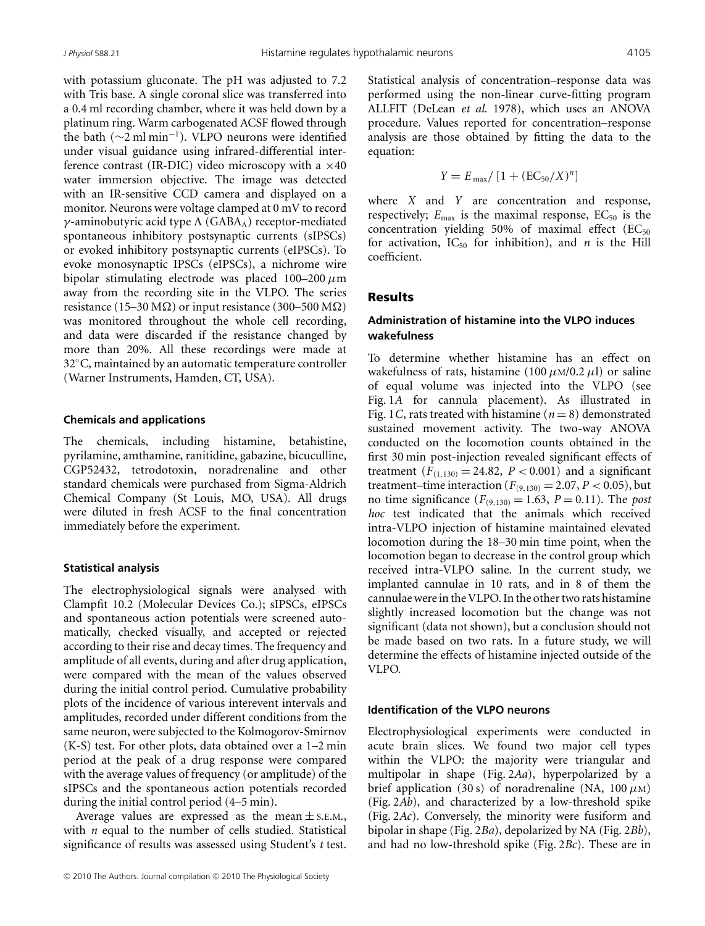with potassium gluconate. The pH was adjusted to 7.2 with Tris base. A single coronal slice was transferred into a 0.4 ml recording chamber, where it was held down by a platinum ring. Warm carbogenated ACSF flowed through the bath (∼2 ml min−1). VLPO neurons were identified under visual guidance using infrared-differential interference contrast (IR-DIC) video microscopy with a  $\times 40$ water immersion objective. The image was detected with an IR-sensitive CCD camera and displayed on a monitor. Neurons were voltage clamped at 0 mV to record  $\gamma$ -aminobutyric acid type A (GABA<sub>A</sub>) receptor-mediated spontaneous inhibitory postsynaptic currents (sIPSCs) or evoked inhibitory postsynaptic currents (eIPSCs). To evoke monosynaptic IPSCs (eIPSCs), a nichrome wire bipolar stimulating electrode was placed  $100-200 \mu m$ away from the recording site in the VLPO. The series resistance (15–30 M $\Omega$ ) or input resistance (300–500 M $\Omega$ ) was monitored throughout the whole cell recording, and data were discarded if the resistance changed by more than 20%. All these recordings were made at 32◦C, maintained by an automatic temperature controller (Warner Instruments, Hamden, CT, USA).

#### **Chemicals and applications**

The chemicals, including histamine, betahistine, pyrilamine, amthamine, ranitidine, gabazine, bicuculline, CGP52432, tetrodotoxin, noradrenaline and other standard chemicals were purchased from Sigma-Aldrich Chemical Company (St Louis, MO, USA). All drugs were diluted in fresh ACSF to the final concentration immediately before the experiment.

### **Statistical analysis**

The electrophysiological signals were analysed with Clampfit 10.2 (Molecular Devices Co.); sIPSCs, eIPSCs and spontaneous action potentials were screened automatically, checked visually, and accepted or rejected according to their rise and decay times. The frequency and amplitude of all events, during and after drug application, were compared with the mean of the values observed during the initial control period. Cumulative probability plots of the incidence of various interevent intervals and amplitudes, recorded under different conditions from the same neuron, were subjected to the Kolmogorov-Smirnov (K-S) test. For other plots, data obtained over a 1–2 min period at the peak of a drug response were compared with the average values of frequency (or amplitude) of the sIPSCs and the spontaneous action potentials recorded during the initial control period (4–5 min).

Average values are expressed as the mean  $\pm$  s.e.m., with *n* equal to the number of cells studied. Statistical significance of results was assessed using Student's *t* test.

Statistical analysis of concentration–response data was performed using the non-linear curve-fitting program ALLFIT (DeLean *et al.* 1978), which uses an ANOVA procedure. Values reported for concentration–response analysis are those obtained by fitting the data to the equation:

$$
Y = E_{\text{max}} / [1 + (EC_{50}/X)^n]
$$

where *X* and *Y* are concentration and response, respectively;  $E_{\text{max}}$  is the maximal response,  $EC_{50}$  is the concentration yielding 50% of maximal effect  $(EC_{50})$ for activation,  $IC_{50}$  for inhibition), and *n* is the Hill coefficient.

### Results

### **Administration of histamine into the VLPO induces wakefulness**

To determine whether histamine has an effect on wakefulness of rats, histamine (100  $\mu$ M/0.2  $\mu$ l) or saline of equal volume was injected into the VLPO (see Fig. 1*A* for cannula placement). As illustrated in Fig. 1*C*, rats treated with histamine ( $n = 8$ ) demonstrated sustained movement activity. The two-way ANOVA conducted on the locomotion counts obtained in the first 30 min post-injection revealed significant effects of treatment  $(F_{(1,130)} = 24.82, P < 0.001)$  and a significant treatment–time interaction ( $F_{(9,130)} = 2.07, P < 0.05$ ), but no time significance  $(F_{(9,130)} = 1.63, P = 0.11)$ . The *post hoc* test indicated that the animals which received intra-VLPO injection of histamine maintained elevated locomotion during the 18–30 min time point, when the locomotion began to decrease in the control group which received intra-VLPO saline. In the current study, we implanted cannulae in 10 rats, and in 8 of them the cannulae were in the VLPO. In the other two rats histamine slightly increased locomotion but the change was not significant (data not shown), but a conclusion should not be made based on two rats. In a future study, we will determine the effects of histamine injected outside of the VLPO.

### **Identification of the VLPO neurons**

Electrophysiological experiments were conducted in acute brain slices. We found two major cell types within the VLPO: the majority were triangular and multipolar in shape (Fig. 2*Aa*), hyperpolarized by a brief application (30 s) of noradrenaline (NA,  $100 \mu$ M) (Fig. 2*Ab*), and characterized by a low-threshold spike (Fig. 2*Ac*). Conversely, the minority were fusiform and bipolar in shape (Fig. 2*Ba*), depolarized by NA (Fig. 2*Bb*), and had no low-threshold spike (Fig. 2*Bc*). These are in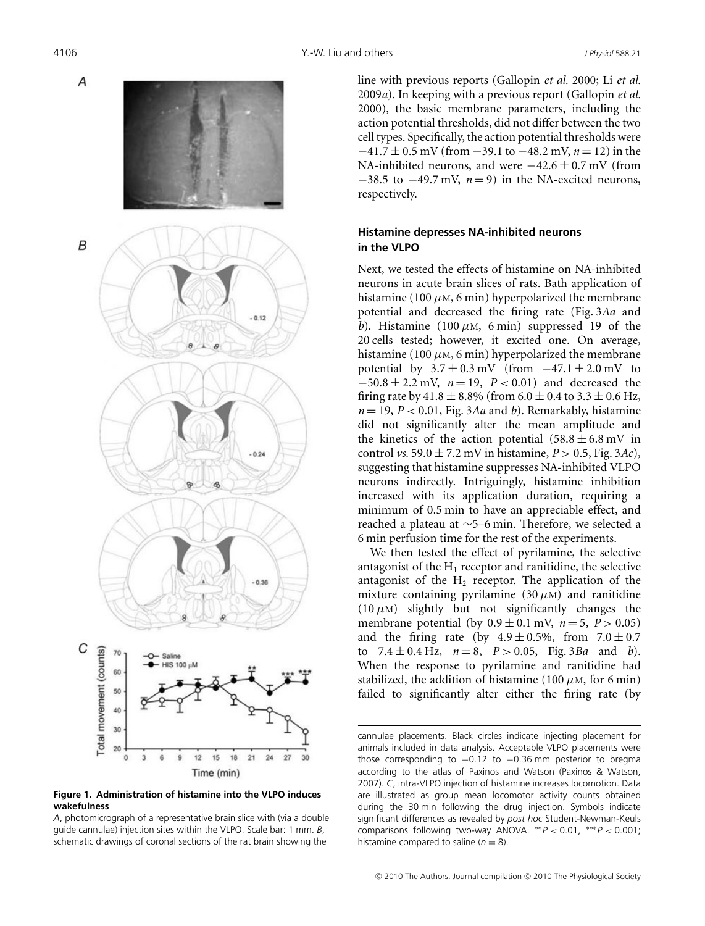

**Figure 1. Administration of histamine into the VLPO induces wakefulness**

*A*, photomicrograph of a representative brain slice with (via a double guide cannulae) injection sites within the VLPO. Scale bar: 1 mm. *B*, schematic drawings of coronal sections of the rat brain showing the

line with previous reports (Gallopin *et al.* 2000; Li *et al.* 2009*a*). In keeping with a previous report (Gallopin *et al.* 2000), the basic membrane parameters, including the action potential thresholds, did not differ between the two cell types. Specifically, the action potential thresholds were −41.7 ± 0.5 mV (from −39.1 to −48.2 mV, *n* = 12) in the NA-inhibited neurons, and were  $-42.6 \pm 0.7$  mV (from  $-38.5$  to  $-49.7$  mV,  $n=9$ ) in the NA-excited neurons, respectively.

## **Histamine depresses NA-inhibited neurons in the VLPO**

Next, we tested the effects of histamine on NA-inhibited neurons in acute brain slices of rats. Bath application of histamine (100  $\mu$ M, 6 min) hyperpolarized the membrane potential and decreased the firing rate (Fig. 3*Aa* and *b*). Histamine (100  $\mu$ M, 6 min) suppressed 19 of the 20 cells tested; however, it excited one. On average, histamine (100  $\mu$ M, 6 min) hyperpolarized the membrane potential by  $3.7 \pm 0.3$  mV (from  $-47.1 \pm 2.0$  mV to −50.8 ± 2.2 mV, *n* = 19, *P* < 0.01) and decreased the firing rate by  $41.8 \pm 8.8\%$  (from  $6.0 \pm 0.4$  to  $3.3 \pm 0.6$  Hz,  $n = 19$ ,  $P < 0.01$ , Fig. 3*Aa* and *b*). Remarkably, histamine did not significantly alter the mean amplitude and the kinetics of the action potential  $(58.8 \pm 6.8 \text{ mV} \text{ in}$ control *vs.* 59.0  $\pm$  7.2 mV in histamine,  $P > 0.5$ , Fig. 3Ac), suggesting that histamine suppresses NA-inhibited VLPO neurons indirectly. Intriguingly, histamine inhibition increased with its application duration, requiring a minimum of 0.5 min to have an appreciable effect, and reached a plateau at ∼5–6 min. Therefore, we selected a 6 min perfusion time for the rest of the experiments.

We then tested the effect of pyrilamine, the selective antagonist of the  $H_1$  receptor and ranitidine, the selective antagonist of the  $H_2$  receptor. The application of the mixture containing pyrilamine (30  $\mu$ M) and ranitidine  $(10 \mu)$  slightly but not significantly changes the membrane potential (by  $0.9 \pm 0.1$  mV,  $n = 5$ ,  $P > 0.05$ ) and the firing rate (by  $4.9 \pm 0.5\%$ , from  $7.0 \pm 0.7$ to  $7.4 \pm 0.4$  Hz,  $n = 8$ ,  $P > 0.05$ , Fig. 3*Ba* and *b*). When the response to pyrilamine and ranitidine had stabilized, the addition of histamine (100  $\mu$ M, for 6 min) failed to significantly alter either the firing rate (by

cannulae placements. Black circles indicate injecting placement for animals included in data analysis. Acceptable VLPO placements were those corresponding to −0.12 to −0.36 mm posterior to bregma according to the atlas of Paxinos and Watson (Paxinos & Watson, 2007). *C*, intra-VLPO injection of histamine increases locomotion. Data are illustrated as group mean locomotor activity counts obtained during the 30 min following the drug injection. Symbols indicate significant differences as revealed by *post hoc* Student-Newman-Keuls comparisons following two-way ANOVA. ∗∗*P* < 0.01, ∗∗∗*P* < 0.001; histamine compared to saline  $(n = 8)$ .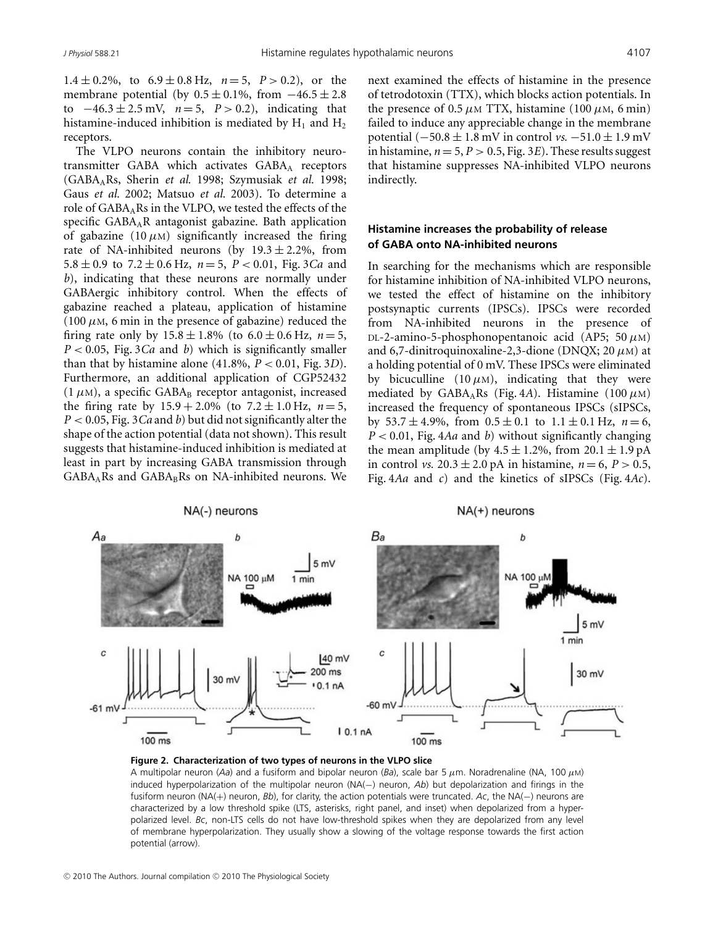1.4  $\pm$  0.2%, to 6.9  $\pm$  0.8 Hz,  $n=5$ ,  $P > 0.2$ ), or the membrane potential (by  $0.5 \pm 0.1\%$ , from  $-46.5 \pm 2.8$ to  $-46.3 \pm 2.5$  mV,  $n = 5$ ,  $P > 0.2$ ), indicating that histamine-induced inhibition is mediated by  $H_1$  and  $H_2$ receptors.

The VLPO neurons contain the inhibitory neurotransmitter GABA which activates GABAA receptors (GABAARs, Sherin *et al.* 1998; Szymusiak *et al.* 1998; Gaus *et al.* 2002; Matsuo *et al.* 2003). To determine a role of  $GABA<sub>A</sub>$ Rs in the VLPO, we tested the effects of the specific GABAAR antagonist gabazine. Bath application of gabazine (10  $\mu$ M) significantly increased the firing rate of NA-inhibited neurons (by  $19.3 \pm 2.2$ %, from 5.8  $\pm$  0.9 to 7.2  $\pm$  0.6 Hz,  $n = 5$ ,  $P < 0.01$ , Fig. 3*Ca* and *b*), indicating that these neurons are normally under GABAergic inhibitory control. When the effects of gabazine reached a plateau, application of histamine  $(100 \mu M, 6 \text{ min in the presence of gabazine})$  reduced the firing rate only by  $15.8 \pm 1.8\%$  (to  $6.0 \pm 0.6$  Hz,  $n = 5$ , *P* < 0.05, Fig. 3*Ca* and *b*) which is significantly smaller than that by histamine alone  $(41.8\%, P < 0.01,$  Fig. 3*D*). Furthermore, an additional application of CGP52432  $(1 \mu M)$ , a specific GABA<sub>B</sub> receptor antagonist, increased the firing rate by  $15.9 + 2.0\%$  (to  $7.2 \pm 1.0$  Hz,  $n = 5$ , *P* < 0.05, Fig. 3*Ca* and *b*) but did not significantly alter the shape of the action potential (data not shown). This result suggests that histamine-induced inhibition is mediated at least in part by increasing GABA transmission through  $GABA<sub>A</sub>$ Rs and  $GABA<sub>B</sub>$ Rs on NA-inhibited neurons. We next examined the effects of histamine in the presence of tetrodotoxin (TTX), which blocks action potentials. In the presence of 0.5  $\mu$ M TTX, histamine (100  $\mu$ M, 6 min) failed to induce any appreciable change in the membrane potential  $(-50.8 \pm 1.8 \text{ mV}$  in control *vs.*  $-51.0 \pm 1.9 \text{ mV}$ in histamine,  $n = 5$ ,  $P > 0.5$ , Fig. 3*E*). These results suggest that histamine suppresses NA-inhibited VLPO neurons indirectly.

### **Histamine increases the probability of release of GABA onto NA-inhibited neurons**

In searching for the mechanisms which are responsible for histamine inhibition of NA-inhibited VLPO neurons, we tested the effect of histamine on the inhibitory postsynaptic currents (IPSCs). IPSCs were recorded from NA-inhibited neurons in the presence of DL-2-amino-5-phosphonopentanoic acid (AP5; 50  $\mu$ M) and 6,7-dinitroquinoxaline-2,3-dione (DNOX; 20  $\mu$ M) at a holding potential of 0 mV. These IPSCs were eliminated by bicuculline (10  $\mu$ M), indicating that they were mediated by GABA<sub>A</sub>Rs (Fig. 4A). Histamine (100  $\mu$ M) increased the frequency of spontaneous IPSCs (sIPSCs, by  $53.7 \pm 4.9\%$ , from  $0.5 \pm 0.1$  to  $1.1 \pm 0.1$  Hz,  $n = 6$ , *P* < 0.01, Fig. 4*Aa* and *b*) without significantly changing the mean amplitude (by  $4.5 \pm 1.2\%$ , from  $20.1 \pm 1.9 \text{ pA}$ in control *vs.*  $20.3 \pm 2.0$  pA in histamine,  $n = 6$ ,  $P > 0.5$ , Fig. 4*Aa* and *c*) and the kinetics of sIPSCs (Fig. 4*Ac*).





A multipolar neuron (*Aa*) and a fusiform and bipolar neuron (*Ba*), scale bar 5 μm. Noradrenaline (NA, 100 μM) induced hyperpolarization of the multipolar neuron (NA(−) neuron, *Ab*) but depolarization and firings in the fusiform neuron (NA(+) neuron, *Bb*), for clarity, the action potentials were truncated. *Ac*, the NA(−) neurons are characterized by a low threshold spike (LTS, asterisks, right panel, and inset) when depolarized from a hyperpolarized level. *Bc*, non-LTS cells do not have low-threshold spikes when they are depolarized from any level of membrane hyperpolarization. They usually show a slowing of the voltage response towards the first action potential (arrow).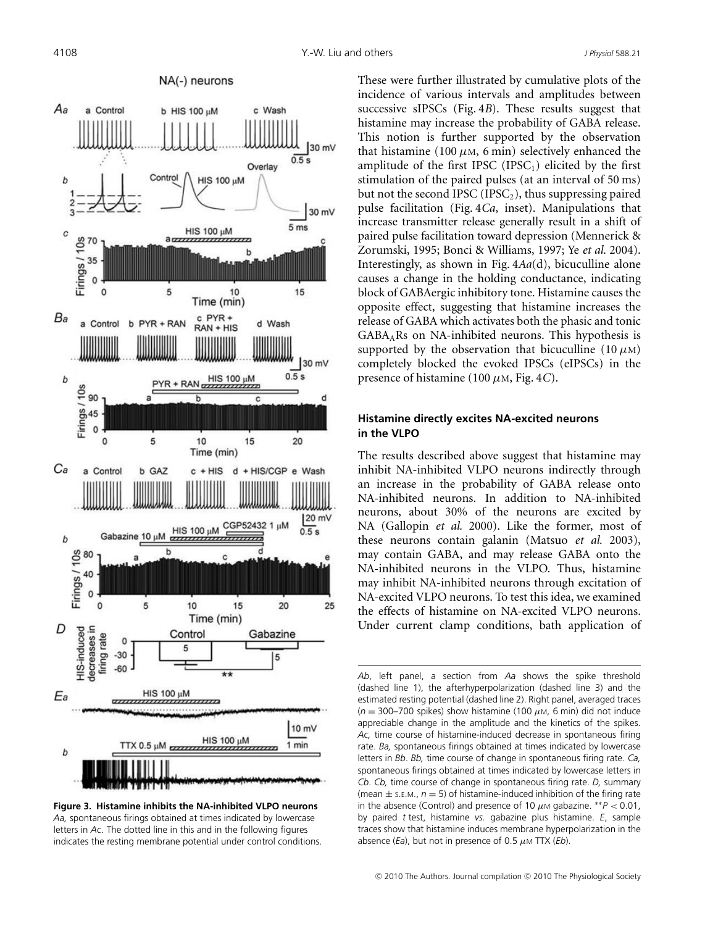

**Figure 3. Histamine inhibits the NA-inhibited VLPO neurons** *Aa,* spontaneous firings obtained at times indicated by lowercase letters in *Ac*. The dotted line in this and in the following figures indicates the resting membrane potential under control conditions.

These were further illustrated by cumulative plots of the incidence of various intervals and amplitudes between successive sIPSCs (Fig. 4*B*). These results suggest that histamine may increase the probability of GABA release. This notion is further supported by the observation that histamine (100  $\mu$ M, 6 min) selectively enhanced the amplitude of the first IPSC  $(IPSC<sub>1</sub>)$  elicited by the first stimulation of the paired pulses (at an interval of 50 ms) but not the second IPSC (IPSC<sub>2</sub>), thus suppressing paired pulse facilitation (Fig. 4*Ca*, inset). Manipulations that increase transmitter release generally result in a shift of paired pulse facilitation toward depression (Mennerick & Zorumski, 1995; Bonci & Williams, 1997; Ye *et al.* 2004). Interestingly, as shown in Fig. 4*Aa*(d), bicuculline alone causes a change in the holding conductance, indicating block of GABAergic inhibitory tone. Histamine causes the opposite effect, suggesting that histamine increases the release of GABA which activates both the phasic and tonic  $GABA<sub>A</sub>Rs$  on NA-inhibited neurons. This hypothesis is supported by the observation that bicuculline  $(10 \mu)$ completely blocked the evoked IPSCs (eIPSCs) in the presence of histamine (100 μM, Fig. 4*C*).

### **Histamine directly excites NA-excited neurons in the VLPO**

The results described above suggest that histamine may inhibit NA-inhibited VLPO neurons indirectly through an increase in the probability of GABA release onto NA-inhibited neurons. In addition to NA-inhibited neurons, about 30% of the neurons are excited by NA (Gallopin *et al.* 2000). Like the former, most of these neurons contain galanin (Matsuo *et al.* 2003), may contain GABA, and may release GABA onto the NA-inhibited neurons in the VLPO. Thus, histamine may inhibit NA-inhibited neurons through excitation of NA-excited VLPO neurons. To test this idea, we examined the effects of histamine on NA-excited VLPO neurons. Under current clamp conditions, bath application of

*Ab*, left panel, a section from *Aa* shows the spike threshold (dashed line 1), the afterhyperpolarization (dashed line 3) and the estimated resting potential (dashed line 2). Right panel, averaged traces  $(n = 300 - 700$  spikes) show histamine (100  $\mu$ M, 6 min) did not induce appreciable change in the amplitude and the kinetics of the spikes. *Ac,* time course of histamine-induced decrease in spontaneous firing rate. *Ba,* spontaneous firings obtained at times indicated by lowercase letters in *Bb*. *Bb,* time course of change in spontaneous firing rate. *Ca,* spontaneous firings obtained at times indicated by lowercase letters in *Cb*. *Cb,* time course of change in spontaneous firing rate. *D,* summary (mean  $\pm$  s.e.m.,  $n = 5$ ) of histamine-induced inhibition of the firing rate in the absence (Control) and presence of 10  $\mu$ M gabazine. \*\* $P < 0.01$ , by paired *t* test, histamine *vs.* gabazine plus histamine. *E*, sample traces show that histamine induces membrane hyperpolarization in the absence (*Ea*), but not in presence of 0.5  $\mu$ M TTX (*Eb*).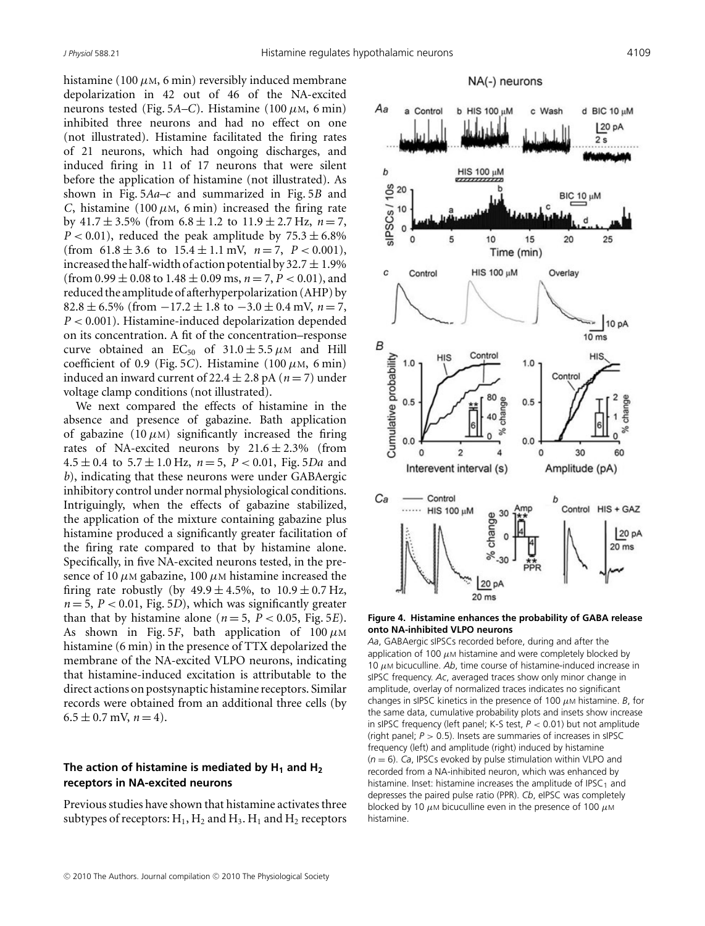Aa

 $\overline{a}$ Control

histamine (100  $\mu$ M, 6 min) reversibly induced membrane depolarization in 42 out of 46 of the NA-excited neurons tested (Fig. 5*A–C*). Histamine (100  $\mu$ M, 6 min) inhibited three neurons and had no effect on one (not illustrated). Histamine facilitated the firing rates of 21 neurons, which had ongoing discharges, and induced firing in 11 of 17 neurons that were silent before the application of histamine (not illustrated). As shown in Fig. 5*Aa–c* and summarized in Fig. 5*B* and *C*, histamine (100  $\mu$ M, 6 min) increased the firing rate by  $41.7 \pm 3.5\%$  (from  $6.8 \pm 1.2$  to  $11.9 \pm 2.7$  Hz,  $n = 7$ ,  $P < 0.01$ ), reduced the peak amplitude by  $75.3 \pm 6.8\%$ (from  $61.8 \pm 3.6$  to  $15.4 \pm 1.1$  mV,  $n = 7$ ,  $P < 0.001$ ), increased the half-width of action potential by  $32.7 \pm 1.9\%$ (from  $0.99 \pm 0.08$  to  $1.48 \pm 0.09$  ms,  $n = 7, P < 0.01$ ), and reduced the amplitude of afterhyperpolarization (AHP) by 82.8 ± 6.5% (from −17.2 ± 1.8 to −3.0 ± 0.4 mV, *n* = 7, *P* < 0.001). Histamine-induced depolarization depended on its concentration. A fit of the concentration–response curve obtained an EC<sub>50</sub> of  $31.0 \pm 5.5 \mu$ M and Hill coefficient of 0.9 (Fig. 5*C*). Histamine (100 μM, 6 min) induced an inward current of 22.4  $\pm$  2.8 pA ( $n = 7$ ) under voltage clamp conditions (not illustrated).

We next compared the effects of histamine in the absence and presence of gabazine. Bath application of gabazine  $(10 \mu)$  significantly increased the firing rates of NA-excited neurons by  $21.6 \pm 2.3\%$  (from  $4.5 \pm 0.4$  to  $5.7 \pm 1.0$  Hz,  $n = 5$ ,  $P < 0.01$ , Fig.  $5Da$  and *b*), indicating that these neurons were under GABAergic inhibitory control under normal physiological conditions. Intriguingly, when the effects of gabazine stabilized, the application of the mixture containing gabazine plus histamine produced a significantly greater facilitation of the firing rate compared to that by histamine alone. Specifically, in five NA-excited neurons tested, in the presence of 10  $\mu$ M gabazine, 100  $\mu$ M histamine increased the firing rate robustly (by  $49.9 \pm 4.5\%$ , to  $10.9 \pm 0.7$  Hz,  $n = 5$ ,  $P < 0.01$ , Fig. 5*D*), which was significantly greater than that by histamine alone ( $n = 5$ ,  $P < 0.05$ , Fig. 5*E*). As shown in Fig. 5*F*, bath application of  $100 \mu M$ histamine (6 min) in the presence of TTX depolarized the membrane of the NA-excited VLPO neurons, indicating that histamine-induced excitation is attributable to the direct actions on postsynaptic histamine receptors. Similar records were obtained from an additional three cells (by  $6.5 \pm 0.7$  mV,  $n = 4$ ).

### The action of histamine is mediated by  $H_1$  and  $H_2$ **receptors in NA-excited neurons**

Previous studies have shown that histamine activates three subtypes of receptors:  $H_1$ ,  $H_2$  and  $H_3$ .  $H_1$  and  $H_2$  receptors

# NA(-) neurons b HIS 100 uM c Wash **HIS 100 uM**





*Aa*, GABAergic sIPSCs recorded before, during and after the application of 100  $\mu$ M histamine and were completely blocked by 10  $\mu$ M bicuculline. Ab, time course of histamine-induced increase in sIPSC frequency. *Ac*, averaged traces show only minor change in amplitude, overlay of normalized traces indicates no significant changes in sIPSC kinetics in the presence of 100  $\mu$ M histamine. *B*, for the same data, cumulative probability plots and insets show increase in sIPSC frequency (left panel; K-S test, *P* < 0.01) but not amplitude (right panel; *P* > 0.5). Insets are summaries of increases in sIPSC frequency (left) and amplitude (right) induced by histamine (*<sup>n</sup>* <sup>=</sup> 6). *Ca*, IPSCs evoked by pulse stimulation within VLPO and recorded from a NA-inhibited neuron, which was enhanced by histamine. Inset: histamine increases the amplitude of IPSC<sub>1</sub> and depresses the paired pulse ratio (PPR). *Cb*, eIPSC was completely blocked by 10  $\mu$ M bicuculline even in the presence of 100  $\mu$ M histamine.

d BIC 10 µM 120 pA  $2s$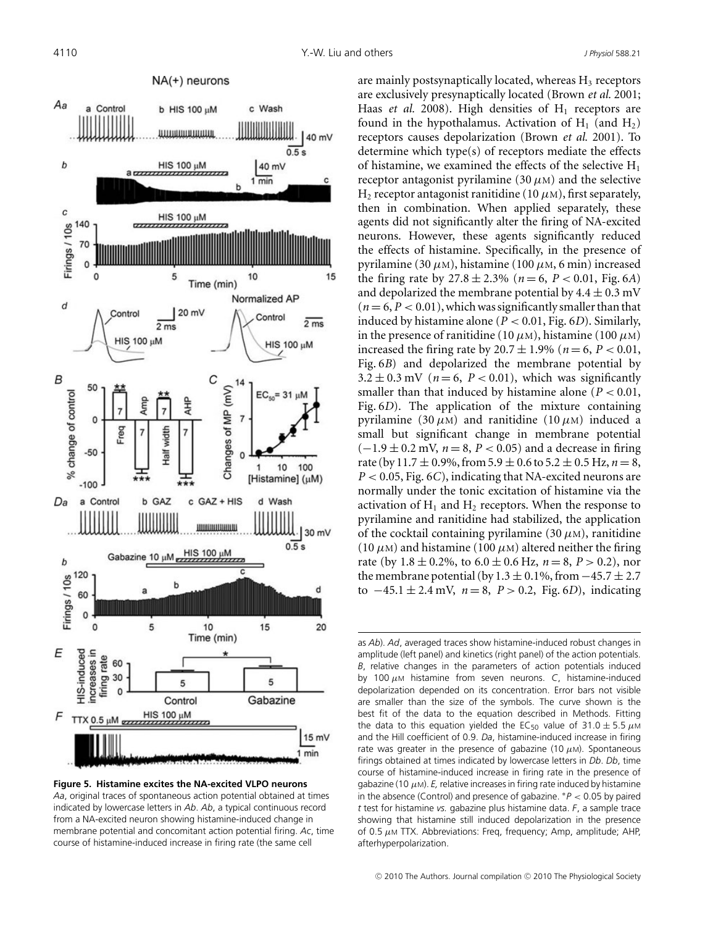

**Figure 5. Histamine excites the NA-excited VLPO neurons** *Aa*, original traces of spontaneous action potential obtained at times indicated by lowercase letters in *Ab*. *Ab*, a typical continuous record from a NA-excited neuron showing histamine-induced change in membrane potential and concomitant action potential firing. *Ac*, time course of histamine-induced increase in firing rate (the same cell

are mainly postsynaptically located, whereas  $H_3$  receptors are exclusively presynaptically located (Brown *et al.* 2001; Haas *et al.* 2008). High densities of  $H_1$  receptors are found in the hypothalamus. Activation of  $H_1$  (and  $H_2$ ) receptors causes depolarization (Brown *et al.* 2001). To determine which type(s) of receptors mediate the effects of histamine, we examined the effects of the selective  $H_1$ receptor antagonist pyrilamine (30  $\mu$ M) and the selective H<sub>2</sub> receptor antagonist ranitidine (10  $\mu$ M), first separately, then in combination. When applied separately, these agents did not significantly alter the firing of NA-excited neurons. However, these agents significantly reduced the effects of histamine. Specifically, in the presence of pyrilamine (30 μM), histamine (100 μM, 6 min) increased the firing rate by  $27.8 \pm 2.3\%$  ( $n = 6$ ,  $P < 0.01$ , Fig. 6*A*) and depolarized the membrane potential by  $4.4 \pm 0.3$  mV  $(n=6, P < 0.01)$ , which was significantly smaller than that induced by histamine alone ( $P < 0.01$ , Fig.  $6D$ ). Similarly, in the presence of ranitidine (10  $\mu$ M), histamine (100  $\mu$ M) increased the firing rate by  $20.7 \pm 1.9\%$  ( $n = 6, P < 0.01$ , Fig. 6*B*) and depolarized the membrane potential by  $3.2 \pm 0.3$  mV ( $n = 6$ ,  $P < 0.01$ ), which was significantly smaller than that induced by histamine alone ( $P < 0.01$ , Fig. 6*D*). The application of the mixture containing pyrilamine (30  $\mu$ M) and ranitidine (10  $\mu$ M) induced a small but significant change in membrane potential  $(-1.9 \pm 0.2 \text{ mV}, n = 8, P < 0.05)$  and a decrease in firing rate (by 11.7  $\pm$  0.9%, from 5.9  $\pm$  0.6 to 5.2  $\pm$  0.5 Hz,  $n = 8$ , *P* < 0.05, Fig. 6*C*), indicating that NA-excited neurons are normally under the tonic excitation of histamine via the activation of  $H_1$  and  $H_2$  receptors. When the response to pyrilamine and ranitidine had stabilized, the application of the cocktail containing pyrilamine (30  $\mu$ M), ranitidine (10  $\mu$ M) and histamine (100  $\mu$ M) altered neither the firing rate (by  $1.8 \pm 0.2\%$ , to  $6.0 \pm 0.6$  Hz,  $n = 8$ ,  $P > 0.2$ ), nor the membrane potential (by 1.3  $\pm$  0.1%, from  $-45.7 \pm 2.7$ to −45.1 ± 2.4 mV, *n* = 8, *P* > 0.2, Fig. 6*D*), indicating

as *Ab*). *Ad*, averaged traces show histamine-induced robust changes in amplitude (left panel) and kinetics (right panel) of the action potentials. *B*, relative changes in the parameters of action potentials induced by 100 μ<sup>M</sup> histamine from seven neurons. *C*, histamine-induced depolarization depended on its concentration. Error bars not visible are smaller than the size of the symbols. The curve shown is the best fit of the data to the equation described in Methods. Fitting the data to this equation yielded the EC<sub>50</sub> value of 31.0  $\pm$  5.5  $\mu$ M and the Hill coefficient of 0.9. *Da*, histamine-induced increase in firing rate was greater in the presence of gabazine (10  $\mu$ m). Spontaneous firings obtained at times indicated by lowercase letters in *Db*. *Db*, time course of histamine-induced increase in firing rate in the presence of gabazine (10  $\mu$ m). *E*, relative increases in firing rate induced by histamine in the absence (Control) and presence of gabazine. <sup>∗</sup>*P* < 0.05 by paired *t* test for histamine *vs.* gabazine plus histamine data. *F*, a sample trace showing that histamine still induced depolarization in the presence of 0.5  $\mu$ M TTX. Abbreviations: Freq, frequency; Amp, amplitude; AHP, afterhyperpolarization.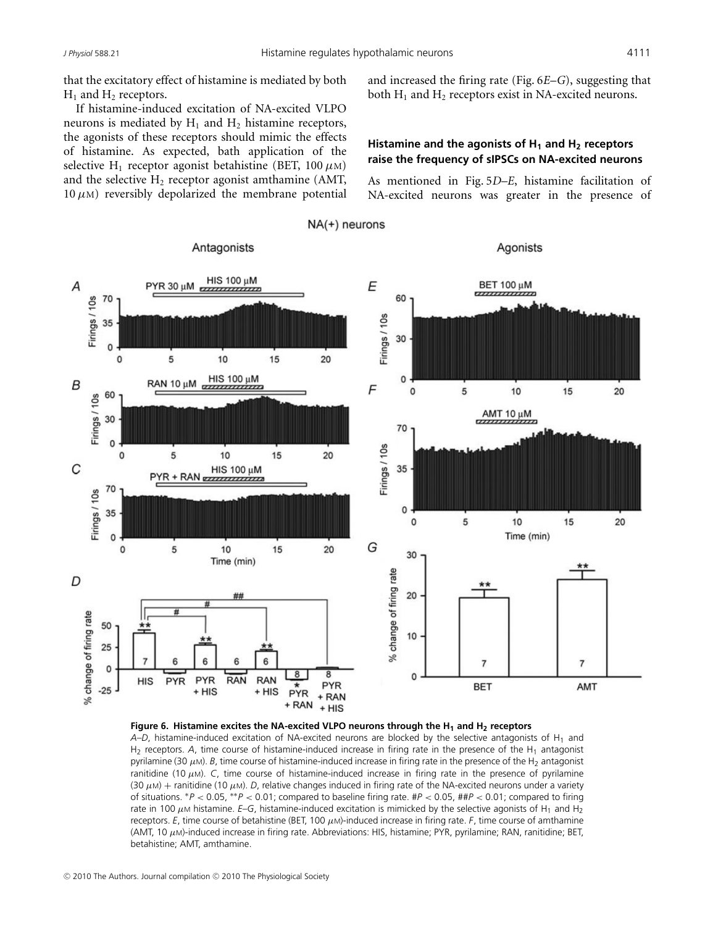that the excitatory effect of histamine is mediated by both  $H_1$  and  $H_2$  receptors.

If histamine-induced excitation of NA-excited VLPO neurons is mediated by  $H_1$  and  $H_2$  histamine receptors, the agonists of these receptors should mimic the effects of histamine. As expected, bath application of the selective H<sub>1</sub> receptor agonist betahistine (BET, 100  $\mu$ M) and the selective  $H_2$  receptor agonist amthamine (AMT,  $10 \mu$ M) reversibly depolarized the membrane potential and increased the firing rate (Fig. 6*E*–*G*), suggesting that both  $H_1$  and  $H_2$  receptors exist in NA-excited neurons.

## Histamine and the agonists of H<sub>1</sub> and H<sub>2</sub> receptors **raise the frequency of sIPSCs on NA-excited neurons**

As mentioned in Fig. 5*D–E*, histamine facilitation of NA-excited neurons was greater in the presence of



**Figure 6. Histamine excites the NA-excited VLPO neurons through the H<sub>1</sub> and H<sub>2</sub> receptors** 

*A–D*, histamine-induced excitation of NA-excited neurons are blocked by the selective antagonists of H<sub>1</sub> and H<sub>2</sub> receptors. A, time course of histamine-induced increase in firing rate in the presence of the H<sub>1</sub> antagonist pyrilamine (30 μM). *B*, time course of histamine-induced increase in firing rate in the presence of the H<sub>2</sub> antagonist ranitidine (10 μM). *C*, time course of histamine-induced increase in firing rate in the presence of pyrilamine (30  $\mu$ M) + ranitidine (10  $\mu$ M). *D*, relative changes induced in firing rate of the NA-excited neurons under a variety of situations. <sup>∗</sup>*P* < 0.05, ∗∗*P* < 0.01; compared to baseline firing rate. #*P* < 0.05, ##*P* < 0.01; compared to firing rate in 100  $\mu$ M histamine. *E*–G, histamine-induced excitation is mimicked by the selective agonists of H<sub>1</sub> and H<sub>2</sub> receptors. *E*, time course of betahistine (BET, 100 μM)-induced increase in firing rate. *F*, time course of amthamine (AMT, 10 μM)-induced increase in firing rate. Abbreviations: HIS, histamine; PYR, pyrilamine; RAN, ranitidine; BET, betahistine; AMT, amthamine.

NA(+) neurons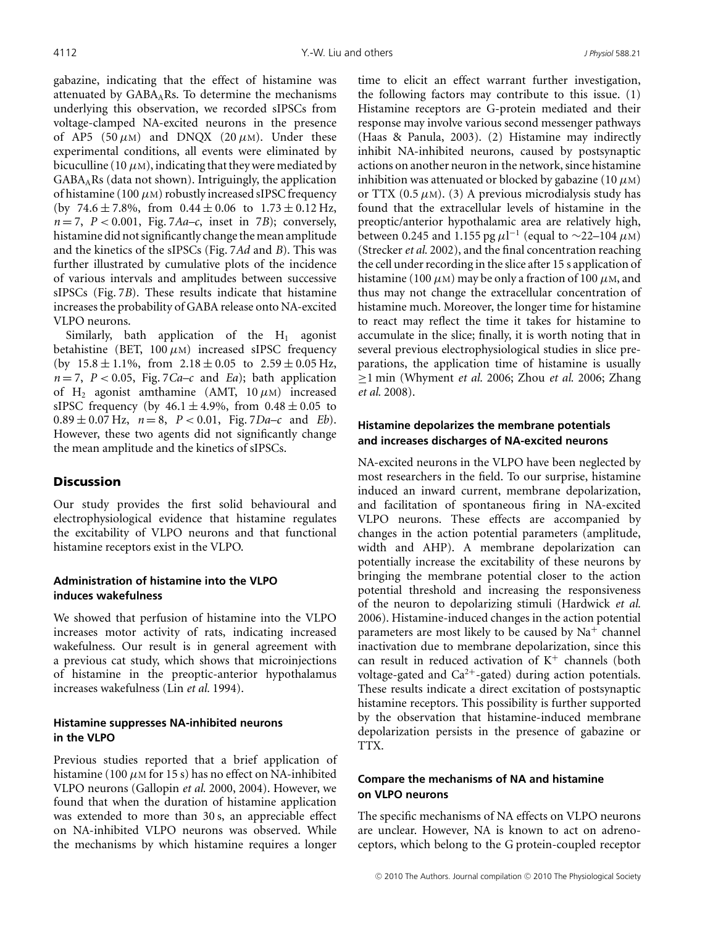gabazine, indicating that the effect of histamine was attenuated by  $GABA<sub>A</sub>Rs$ . To determine the mechanisms underlying this observation, we recorded sIPSCs from voltage-clamped NA-excited neurons in the presence of AP5 (50  $\mu$ M) and DNQX (20  $\mu$ M). Under these experimental conditions, all events were eliminated by bicuculline (10  $\mu$ M), indicating that they were mediated by GABAARs (data not shown). Intriguingly, the application of histamine (100  $\mu$ M) robustly increased sIPSC frequency (by  $74.6 \pm 7.8\%$ , from  $0.44 \pm 0.06$  to  $1.73 \pm 0.12$  Hz,  $n = 7$ ,  $P < 0.001$ , Fig. 7*Aa–c*, inset in 7*B*); conversely, histamine did not significantly change the mean amplitude and the kinetics of the sIPSCs (Fig. 7*Ad* and *B*). This was further illustrated by cumulative plots of the incidence of various intervals and amplitudes between successive sIPSCs (Fig. 7*B*). These results indicate that histamine increases the probability of GABA release onto NA-excited VLPO neurons.

Similarly, bath application of the  $H_1$  agonist betahistine (BET,  $100 \mu$ M) increased sIPSC frequency (by  $15.8 \pm 1.1\%$ , from  $2.18 \pm 0.05$  to  $2.59 \pm 0.05$  Hz,  $n = 7$ ,  $P < 0.05$ , Fig. 7*Ca–c* and *Ea*); bath application of H<sub>2</sub> agonist amthamine (AMT,  $10 \mu$ M) increased sIPSC frequency (by  $46.1 \pm 4.9\%$ , from  $0.48 \pm 0.05$  to  $0.89 \pm 0.07$  Hz,  $n = 8$ ,  $P < 0.01$ , Fig. 7*Da–c* and *Eb*). However, these two agents did not significantly change the mean amplitude and the kinetics of sIPSCs.

## **Discussion**

Our study provides the first solid behavioural and electrophysiological evidence that histamine regulates the excitability of VLPO neurons and that functional histamine receptors exist in the VLPO.

### **Administration of histamine into the VLPO induces wakefulness**

We showed that perfusion of histamine into the VLPO increases motor activity of rats, indicating increased wakefulness. Our result is in general agreement with a previous cat study, which shows that microinjections of histamine in the preoptic-anterior hypothalamus increases wakefulness (Lin *et al.* 1994).

### **Histamine suppresses NA-inhibited neurons in the VLPO**

Previous studies reported that a brief application of histamine (100  $\mu$ M for 15 s) has no effect on NA-inhibited VLPO neurons (Gallopin *et al.* 2000, 2004). However, we found that when the duration of histamine application was extended to more than 30 s, an appreciable effect on NA-inhibited VLPO neurons was observed. While the mechanisms by which histamine requires a longer

time to elicit an effect warrant further investigation, the following factors may contribute to this issue. (1) Histamine receptors are G-protein mediated and their response may involve various second messenger pathways (Haas & Panula, 2003). (2) Histamine may indirectly inhibit NA-inhibited neurons, caused by postsynaptic actions on another neuron in the network, since histamine inhibition was attenuated or blocked by gabazine (10  $\mu$ M) or TTX (0.5  $\mu$ M). (3) A previous microdialysis study has found that the extracellular levels of histamine in the preoptic/anterior hypothalamic area are relatively high, between 0.245 and 1.155 pg  $\mu$ l<sup>-1</sup> (equal to ~22–104 μM) (Strecker*et al.* 2002), and the final concentration reaching the cell under recording in the slice after 15 s application of histamine (100  $\mu$ M) may be only a fraction of 100  $\mu$ M, and thus may not change the extracellular concentration of histamine much. Moreover, the longer time for histamine to react may reflect the time it takes for histamine to accumulate in the slice; finally, it is worth noting that in several previous electrophysiological studies in slice preparations, the application time of histamine is usually ≥1 min (Whyment *et al.* 2006; Zhou *et al.* 2006; Zhang *et al.* 2008).

### **Histamine depolarizes the membrane potentials and increases discharges of NA-excited neurons**

NA-excited neurons in the VLPO have been neglected by most researchers in the field. To our surprise, histamine induced an inward current, membrane depolarization, and facilitation of spontaneous firing in NA-excited VLPO neurons. These effects are accompanied by changes in the action potential parameters (amplitude, width and AHP). A membrane depolarization can potentially increase the excitability of these neurons by bringing the membrane potential closer to the action potential threshold and increasing the responsiveness of the neuron to depolarizing stimuli (Hardwick *et al.* 2006). Histamine-induced changes in the action potential parameters are most likely to be caused by  $Na<sup>+</sup>$  channel inactivation due to membrane depolarization, since this can result in reduced activation of  $K^+$  channels (both voltage-gated and  $Ca^{2+}$ -gated) during action potentials. These results indicate a direct excitation of postsynaptic histamine receptors. This possibility is further supported by the observation that histamine-induced membrane depolarization persists in the presence of gabazine or TTX.

## **Compare the mechanisms of NA and histamine on VLPO neurons**

The specific mechanisms of NA effects on VLPO neurons are unclear. However, NA is known to act on adrenoceptors, which belong to the G protein-coupled receptor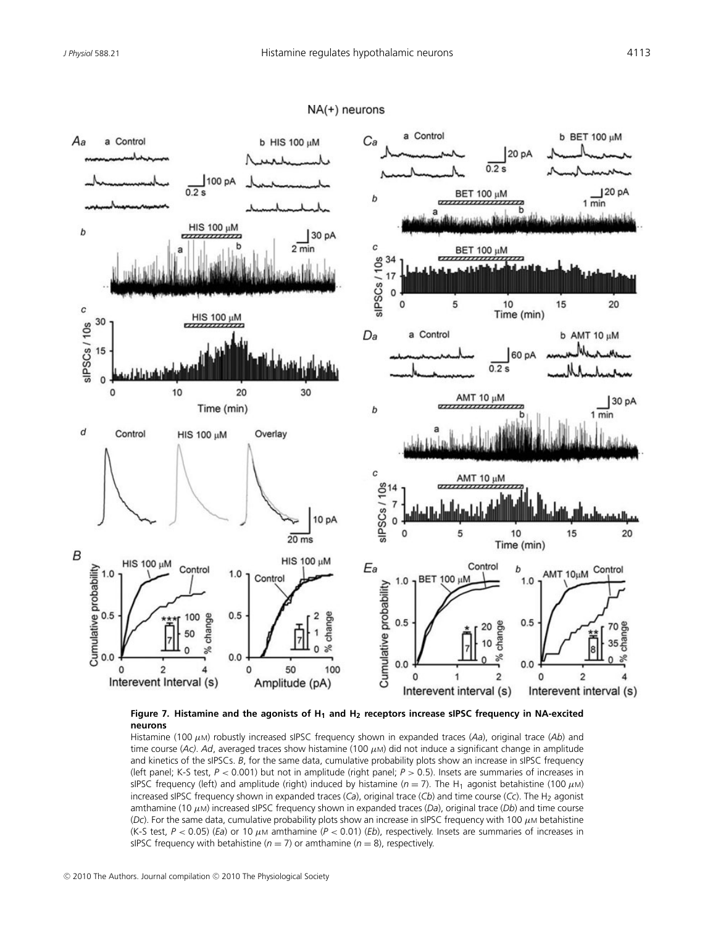

### NA(+) neurons

**Figure 7. Histamine and the agonists of H1 and H2 receptors increase sIPSC frequency in NA-excited neurons**

Histamine (100 μM) robustly increased sIPSC frequency shown in expanded traces (*Aa*), original trace (*Ab*) and time course (Ac). Ad, averaged traces show histamine (100  $\mu$ M) did not induce a significant change in amplitude and kinetics of the sIPSCs. *B*, for the same data, cumulative probability plots show an increase in sIPSC frequency (left panel; K-S test, *P* < 0.001) but not in amplitude (right panel; *P* > 0.5). Insets are summaries of increases in sIPSC frequency (left) and amplitude (right) induced by histamine ( $n = 7$ ). The H<sub>1</sub> agonist betahistine (100  $\mu$ M) increased sIPSC frequency shown in expanded traces (*Ca*), original trace (*Cb*) and time course (*Cc*). The H<sub>2</sub> agonist amthamine (10 μM) increased sIPSC frequency shown in expanded traces (*Da*), original trace (*Db*) and time course (*Dc*). For the same data, cumulative probability plots show an increase in sIPSC frequency with 100 μM betahistine (K-S test, *P* < 0.05) (*Ea*) or 10 μ<sup>M</sup> amthamine (*P* < 0.01) (*Eb*), respectively. Insets are summaries of increases in sIPSC frequency with betahistine ( $n = 7$ ) or amthamine ( $n = 8$ ), respectively.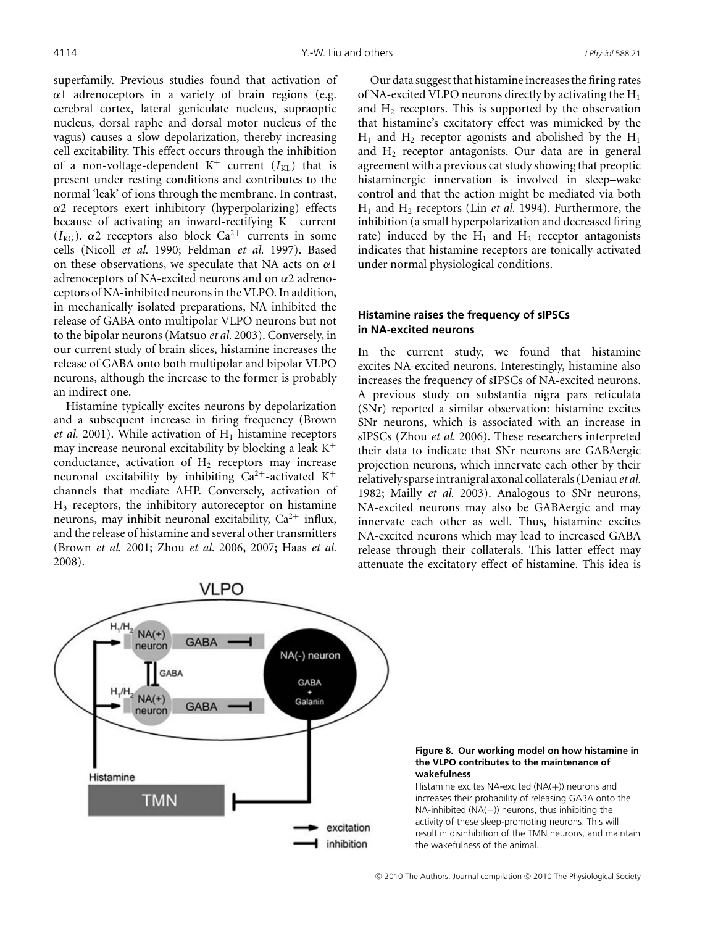superfamily. Previous studies found that activation of  $\alpha$ 1 adrenoceptors in a variety of brain regions (e.g. cerebral cortex, lateral geniculate nucleus, supraoptic nucleus, dorsal raphe and dorsal motor nucleus of the vagus) causes a slow depolarization, thereby increasing cell excitability. This effect occurs through the inhibition of a non-voltage-dependent  $K^+$  current ( $I_{KL}$ ) that is present under resting conditions and contributes to the normal 'leak' of ions through the membrane. In contrast,  $\alpha$ 2 receptors exert inhibitory (hyperpolarizing) effects because of activating an inward-rectifying  $K^+$  current ( $I_{\text{KG}}$ ).  $\alpha$ 2 receptors also block Ca<sup>2+</sup> currents in some cells (Nicoll *et al.* 1990; Feldman *et al.* 1997). Based on these observations, we speculate that NA acts on  $\alpha$ 1 adrenoceptors of NA-excited neurons and on  $\alpha$ 2 adrenoceptors of NA-inhibited neurons in the VLPO. In addition, in mechanically isolated preparations, NA inhibited the release of GABA onto multipolar VLPO neurons but not to the bipolar neurons (Matsuo *et al.* 2003). Conversely, in our current study of brain slices, histamine increases the release of GABA onto both multipolar and bipolar VLPO neurons, although the increase to the former is probably an indirect one.

Histamine typically excites neurons by depolarization and a subsequent increase in firing frequency (Brown *et al.* 2001). While activation of  $H_1$  histamine receptors may increase neuronal excitability by blocking a leak  $K^+$ conductance, activation of  $H_2$  receptors may increase neuronal excitability by inhibiting  $Ca^{2+}$ -activated K<sup>+</sup> channels that mediate AHP. Conversely, activation of H3 receptors, the inhibitory autoreceptor on histamine neurons, may inhibit neuronal excitability,  $Ca^{2+}$  influx, and the release of histamine and several other transmitters (Brown *et al.* 2001; Zhou *et al.* 2006, 2007; Haas *et al.* 2008).

Our data suggest that histamine increases the firing rates of NA-excited VLPO neurons directly by activating the  $H_1$ and  $H_2$  receptors. This is supported by the observation that histamine's excitatory effect was mimicked by the  $H_1$  and  $H_2$  receptor agonists and abolished by the  $H_1$ and  $H_2$  receptor antagonists. Our data are in general agreement with a previous cat study showing that preoptic histaminergic innervation is involved in sleep–wake control and that the action might be mediated via both H<sub>1</sub> and H<sub>2</sub> receptors (Lin *et al.* 1994). Furthermore, the inhibition (a small hyperpolarization and decreased firing rate) induced by the  $H_1$  and  $H_2$  receptor antagonists indicates that histamine receptors are tonically activated under normal physiological conditions.

## **Histamine raises the frequency of sIPSCs in NA-excited neurons**

In the current study, we found that histamine excites NA-excited neurons. Interestingly, histamine also increases the frequency of sIPSCs of NA-excited neurons. A previous study on substantia nigra pars reticulata (SNr) reported a similar observation: histamine excites SNr neurons, which is associated with an increase in sIPSCs (Zhou *et al.* 2006). These researchers interpreted their data to indicate that SNr neurons are GABAergic projection neurons, which innervate each other by their relatively sparse intranigral axonal collaterals (Deniau*et al.* 1982; Mailly *et al.* 2003). Analogous to SNr neurons, NA-excited neurons may also be GABAergic and may innervate each other as well. Thus, histamine excites NA-excited neurons which may lead to increased GABA release through their collaterals. This latter effect may attenuate the excitatory effect of histamine. This idea is



### **Figure 8. Our working model on how histamine in the VLPO contributes to the maintenance of wakefulness**

Histamine excites NA-excited (NA(+)) neurons and increases their probability of releasing GABA onto the NA-inhibited (NA(−)) neurons, thus inhibiting the activity of these sleep-promoting neurons. This will result in disinhibition of the TMN neurons, and maintain the wakefulness of the animal.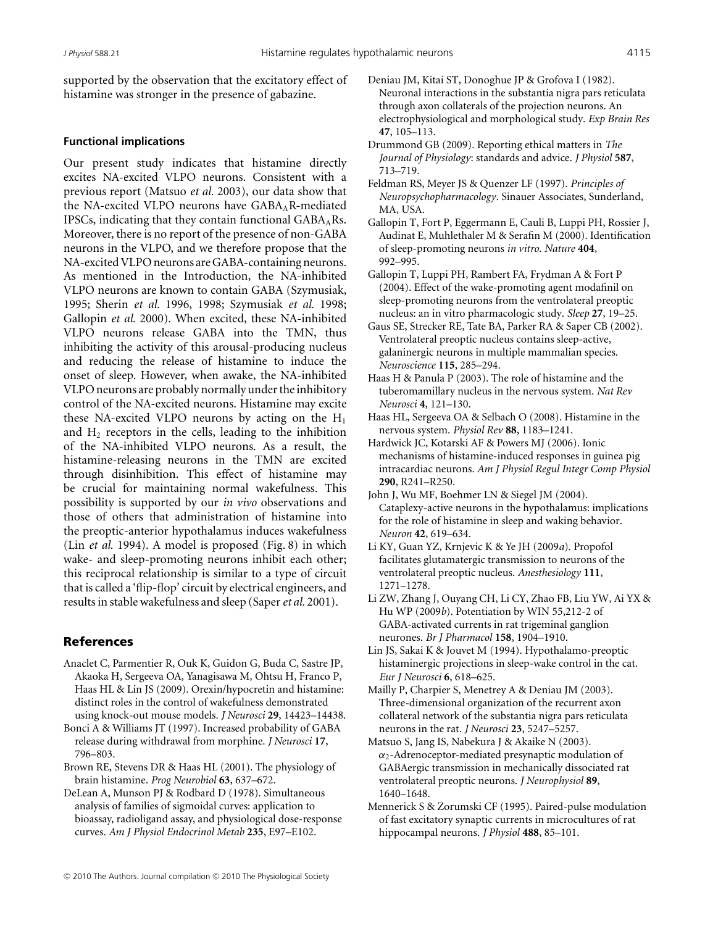supported by the observation that the excitatory effect of histamine was stronger in the presence of gabazine.

### **Functional implications**

Our present study indicates that histamine directly excites NA-excited VLPO neurons. Consistent with a previous report (Matsuo *et al.* 2003), our data show that the NA-excited VLPO neurons have  $GABA<sub>A</sub>R$ -mediated IPSCs, indicating that they contain functional  $GABA<sub>A</sub>Rs$ . Moreover, there is no report of the presence of non-GABA neurons in the VLPO, and we therefore propose that the NA-excited VLPO neurons are GABA-containing neurons. As mentioned in the Introduction, the NA-inhibited VLPO neurons are known to contain GABA (Szymusiak, 1995; Sherin *et al.* 1996, 1998; Szymusiak *et al.* 1998; Gallopin *et al.* 2000). When excited, these NA-inhibited VLPO neurons release GABA into the TMN, thus inhibiting the activity of this arousal-producing nucleus and reducing the release of histamine to induce the onset of sleep. However, when awake, the NA-inhibited VLPO neurons are probably normally under the inhibitory control of the NA-excited neurons. Histamine may excite these NA-excited VLPO neurons by acting on the  $H_1$ and  $H_2$  receptors in the cells, leading to the inhibition of the NA-inhibited VLPO neurons. As a result, the histamine-releasing neurons in the TMN are excited through disinhibition. This effect of histamine may be crucial for maintaining normal wakefulness. This possibility is supported by our *in vivo* observations and those of others that administration of histamine into the preoptic-anterior hypothalamus induces wakefulness (Lin *et al.* 1994). A model is proposed (Fig. 8) in which wake- and sleep-promoting neurons inhibit each other; this reciprocal relationship is similar to a type of circuit that is called a 'flip-flop' circuit by electrical engineers, and results in stable wakefulness and sleep (Saper*et al.* 2001).

### References

- Anaclet C, Parmentier R, Ouk K, Guidon G, Buda C, Sastre JP, Akaoka H, Sergeeva OA, Yanagisawa M, Ohtsu H, Franco P, Haas HL & Lin JS (2009). Orexin/hypocretin and histamine: distinct roles in the control of wakefulness demonstrated using knock-out mouse models. *J Neurosci* **29**, 14423–14438.
- Bonci A & Williams JT (1997). Increased probability of GABA release during withdrawal from morphine. *J Neurosci* **17**, 796–803.
- Brown RE, Stevens DR & Haas HL (2001). The physiology of brain histamine. *Prog Neurobiol* **63**, 637–672.
- DeLean A, Munson PJ & Rodbard D (1978). Simultaneous analysis of families of sigmoidal curves: application to bioassay, radioligand assay, and physiological dose-response curves. *Am J Physiol Endocrinol Metab* **235**, E97–E102.
- Deniau JM, Kitai ST, Donoghue JP & Grofova I (1982). Neuronal interactions in the substantia nigra pars reticulata through axon collaterals of the projection neurons. An electrophysiological and morphological study. *Exp Brain Res* **47**, 105–113.
- Drummond GB (2009). Reporting ethical matters in *The Journal of Physiology*: standards and advice. *J Physiol* **587**, 713–719.
- Feldman RS, Meyer JS & Quenzer LF (1997). *Principles of Neuropsychopharmacology*. Sinauer Associates, Sunderland, MA, USA.
- Gallopin T, Fort P, Eggermann E, Cauli B, Luppi PH, Rossier J, Audinat E, Muhlethaler M & Serafin M (2000). Identification of sleep-promoting neurons *in vitro*. *Nature* **404**, 992–995.
- Gallopin T, Luppi PH, Rambert FA, Frydman A & Fort P (2004). Effect of the wake-promoting agent modafinil on sleep-promoting neurons from the ventrolateral preoptic nucleus: an in vitro pharmacologic study. *Sleep* **27**, 19–25.
- Gaus SE, Strecker RE, Tate BA, Parker RA & Saper CB (2002). Ventrolateral preoptic nucleus contains sleep-active, galaninergic neurons in multiple mammalian species. *Neuroscience* **115**, 285–294.
- Haas H & Panula P (2003). The role of histamine and the tuberomamillary nucleus in the nervous system. *Nat Rev Neurosci* **4**, 121–130.
- Haas HL, Sergeeva OA & Selbach O (2008). Histamine in the nervous system. *Physiol Rev* **88**, 1183–1241.
- Hardwick JC, Kotarski AF & Powers MJ (2006). Ionic mechanisms of histamine-induced responses in guinea pig intracardiac neurons. *Am J Physiol Regul Integr Comp Physiol* **290**, R241–R250.
- John J, Wu MF, Boehmer LN & Siegel JM (2004). Cataplexy-active neurons in the hypothalamus: implications for the role of histamine in sleep and waking behavior. *Neuron* **42**, 619–634.
- Li KY, Guan YZ, Krnjevic K & Ye JH (2009*a*). Propofol facilitates glutamatergic transmission to neurons of the ventrolateral preoptic nucleus. *Anesthesiology* **111**, 1271–1278.
- Li ZW, Zhang J, Ouyang CH, Li CY, Zhao FB, Liu YW, Ai YX & Hu WP (2009*b*). Potentiation by WIN 55,212-2 of GABA-activated currents in rat trigeminal ganglion neurones. *Br J Pharmacol* **158**, 1904–1910.
- Lin JS, Sakai K & Jouvet M (1994). Hypothalamo-preoptic histaminergic projections in sleep-wake control in the cat. *Eur J Neurosci* **6**, 618–625.
- Mailly P, Charpier S, Menetrey A & Deniau JM (2003). Three-dimensional organization of the recurrent axon collateral network of the substantia nigra pars reticulata neurons in the rat. *J Neurosci* **23**, 5247–5257.
- Matsuo S, Jang IS, Nabekura J & Akaike N (2003).  $\alpha_2$ -Adrenoceptor-mediated presynaptic modulation of GABAergic transmission in mechanically dissociated rat ventrolateral preoptic neurons. *J Neurophysiol* **89**, 1640–1648.
- Mennerick S & Zorumski CF (1995). Paired-pulse modulation of fast excitatory synaptic currents in microcultures of rat hippocampal neurons. *J Physiol* **488**, 85–101.